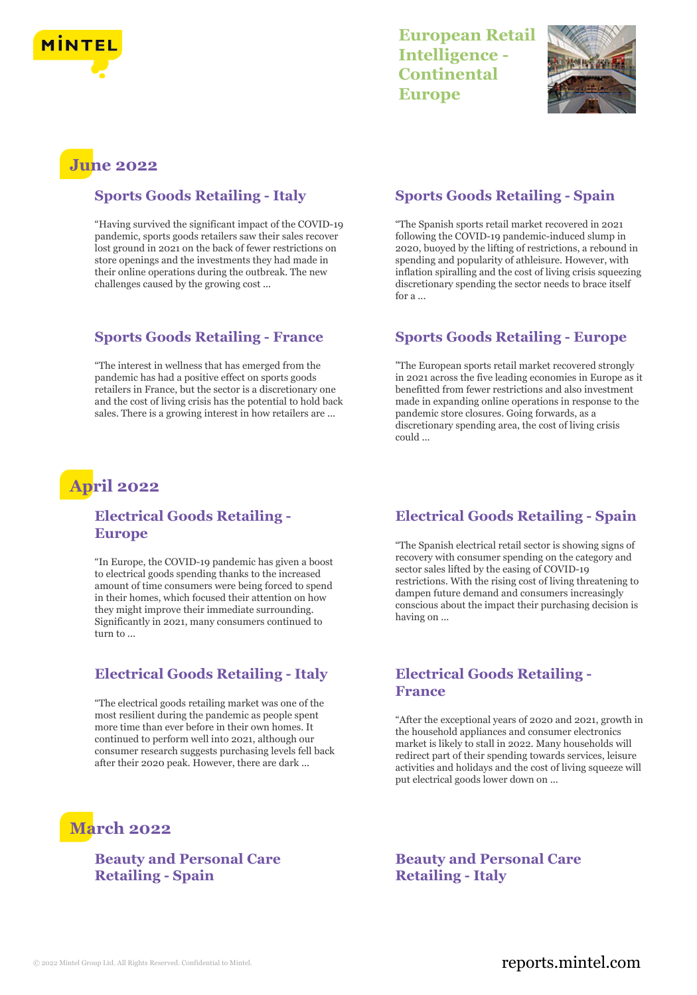

## **European Retail Intelligence - Continental Europe**



# **June 2022**

#### **Sports Goods Retailing - Italy**

"Having survived the significant impact of the COVID-19 pandemic, sports goods retailers saw their sales recover lost ground in 2021 on the back of fewer restrictions on store openings and the investments they had made in their online operations during the outbreak. The new challenges caused by the growing cost ...

#### **Sports Goods Retailing - France**

"The interest in wellness that has emerged from the pandemic has had a positive effect on sports goods retailers in France, but the sector is a discretionary one and the cost of living crisis has the potential to hold back sales. There is a growing interest in how retailers are ...

## **April 2022**

#### **Electrical Goods Retailing - Europe**

"In Europe, the COVID-19 pandemic has given a boost to electrical goods spending thanks to the increased amount of time consumers were being forced to spend in their homes, which focused their attention on how they might improve their immediate surrounding. Significantly in 2021, many consumers continued to turn to ...

### **Electrical Goods Retailing - Italy**

"The electrical goods retailing market was one of the most resilient during the pandemic as people spent more time than ever before in their own homes. It continued to perform well into 2021, although our consumer research suggests purchasing levels fell back after their 2020 peak. However, there are dark ...

# **March 2022**

#### **Beauty and Personal Care Retailing - Spain**

#### **Sports Goods Retailing - Spain**

"The Spanish sports retail market recovered in 2021 following the COVID-19 pandemic-induced slump in 2020, buoyed by the lifting of restrictions, a rebound in spending and popularity of athleisure. However, with inflation spiralling and the cost of living crisis squeezing discretionary spending the sector needs to brace itself for a ...

#### **Sports Goods Retailing - Europe**

"The European sports retail market recovered strongly in 2021 across the five leading economies in Europe as it benefitted from fewer restrictions and also investment made in expanding online operations in response to the pandemic store closures. Going forwards, as a discretionary spending area, the cost of living crisis could ...

### **Electrical Goods Retailing - Spain**

"The Spanish electrical retail sector is showing signs of recovery with consumer spending on the category and sector sales lifted by the easing of COVID-19 restrictions. With the rising cost of living threatening to dampen future demand and consumers increasingly conscious about the impact their purchasing decision is having on ...

#### **Electrical Goods Retailing - France**

"After the exceptional years of 2020 and 2021, growth in the household appliances and consumer electronics market is likely to stall in 2022. Many households will redirect part of their spending towards services, leisure activities and holidays and the cost of living squeeze will put electrical goods lower down on ...

**Beauty and Personal Care Retailing - Italy**